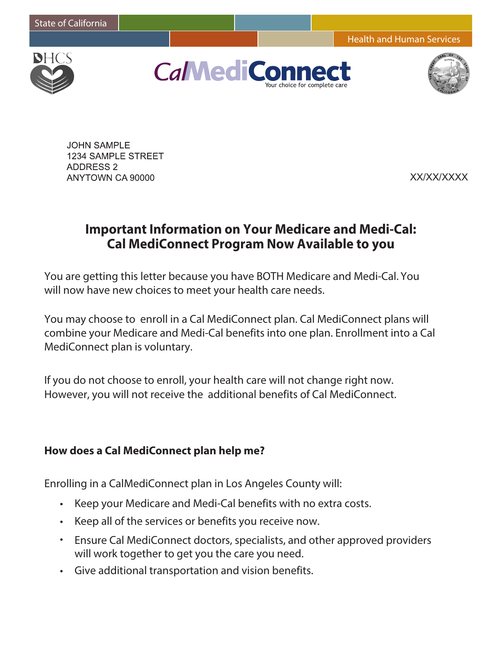Health and Human Services



**CalMediCo** 



**JOHN SAMPLE 1234 SAMPLE STREET ADDRESS 2** ANYTOWN CA 90000

XX/XX/XXXX

# **Important Information on Your Medicare and Medi-Cal: Cal MediConnect Program Now Available to you**

You are getting this letter because you have BOTH Medicare and Medi-Cal. You will now have new choices to meet your health care needs.

You may choose to enroll in a Cal MediConnect plan. Cal MediConnect plans will combine your Medicare and Medi-Cal benefits into one plan. Enrollment into a Cal MediConnect plan is voluntary.

If you do not choose to enroll, your health care will not change right now. However, you will not receive the additional benefits of Cal MediConnect.

#### **How does a Cal MediConnect plan help me?**

Enrolling in a CalMediConnect plan in Los Angeles County will:

- Keep your Medicare and Medi-Cal benefits with no extra costs.
- Keep all of the services or benefits you receive now.
- Ensure Cal MediConnect doctors, specialists, and other approved providers will work together to get you the care you need.
- Give additional transportation and vision benefits.